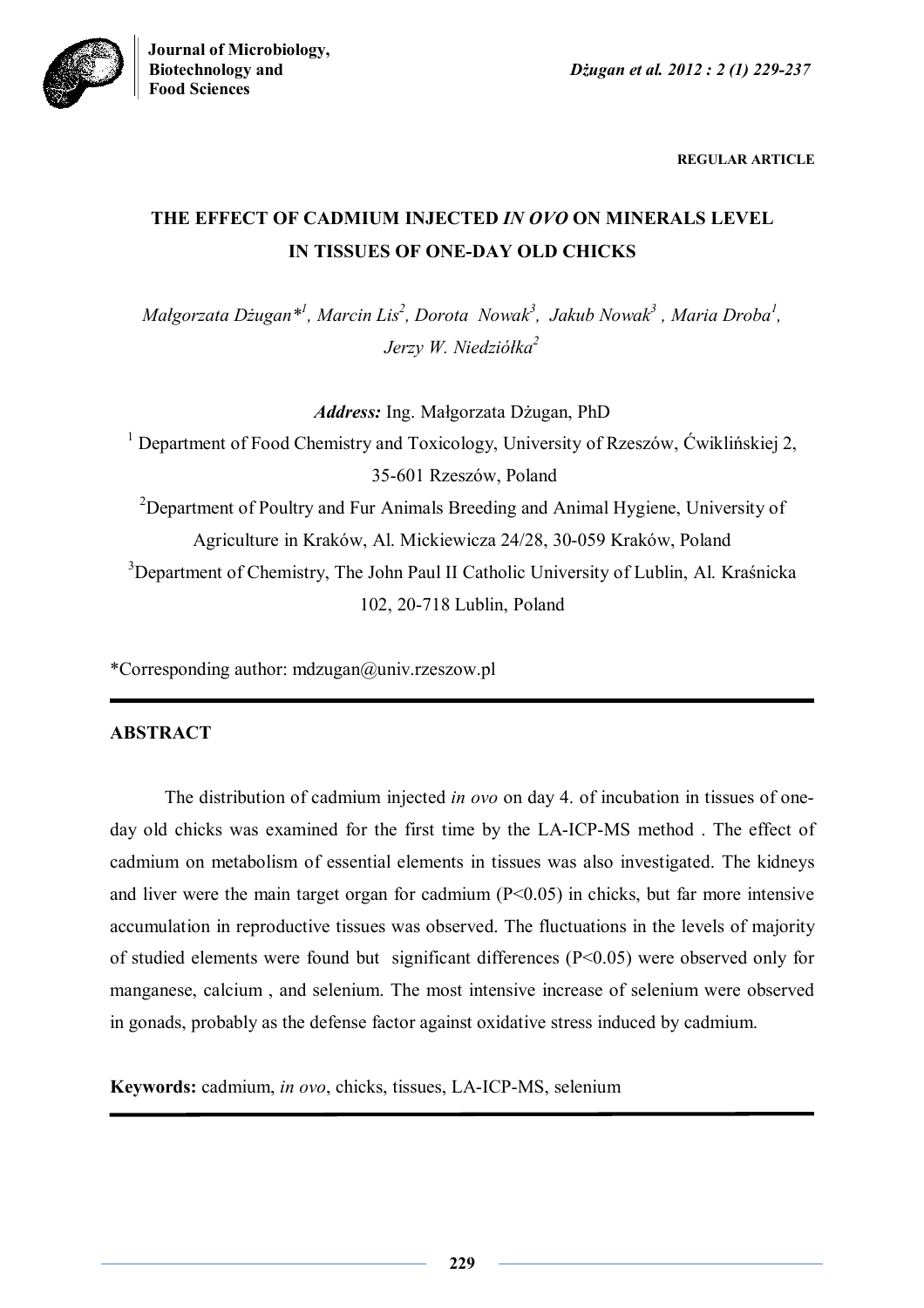

**REGULAR ARTICLE**

# **THE EFFECT OF CADMIUM INJECTED** *IN OVO* **ON MINERALS LEVEL IN TISSUES OF ONE-DAY OLD CHICKS**

 $M$ ałgorzata Dżugan $*$ <sup>1</sup>, Marcin Lis<sup>2</sup>, Dorota Nowak<sup>3</sup>, Jakub Nowak<sup>3</sup>, Maria Droba<sup>1</sup>, *Jerzy W. Niedziółka<sup>2</sup>*

*Address:* Ing. Małgorzata Dżugan, PhD

<sup>1</sup> Department of Food Chemistry and Toxicology, University of Rzeszów, Ćwiklińskiej 2, 35-601 Rzeszów, Poland

<sup>2</sup>Department of Poultry and Fur Animals Breeding and Animal Hygiene, University of Agriculture in Kraków, Al. Mickiewicza 24/28, 30-059 Kraków, Poland <sup>3</sup>Department of Chemistry, The John Paul II Catholic University of Lublin, Al. Kraśnicka 102, 20-718 Lublin, Poland

\*Corresponding author: mdzugan@univ.rzeszow.pl

# **ABSTRACT**

The distribution of cadmium injected *in ovo* on day 4. of incubation in tissues of oneday old chicks was examined for the first time by the LA-ICP-MS method . The effect of cadmium on metabolism of essential elements in tissues was also investigated. The kidneys and liver were the main target organ for cadmium (P<0.05) in chicks, but far more intensive accumulation in reproductive tissues was observed. The fluctuations in the levels of majority of studied elements were found but significant differences (P<0.05) were observed only for manganese, calcium , and selenium. The most intensive increase of selenium were observed in gonads, probably as the defense factor against oxidative stress induced by cadmium.

**Keywords:** cadmium, *in ovo*, chicks, tissues, LA-ICP-MS, selenium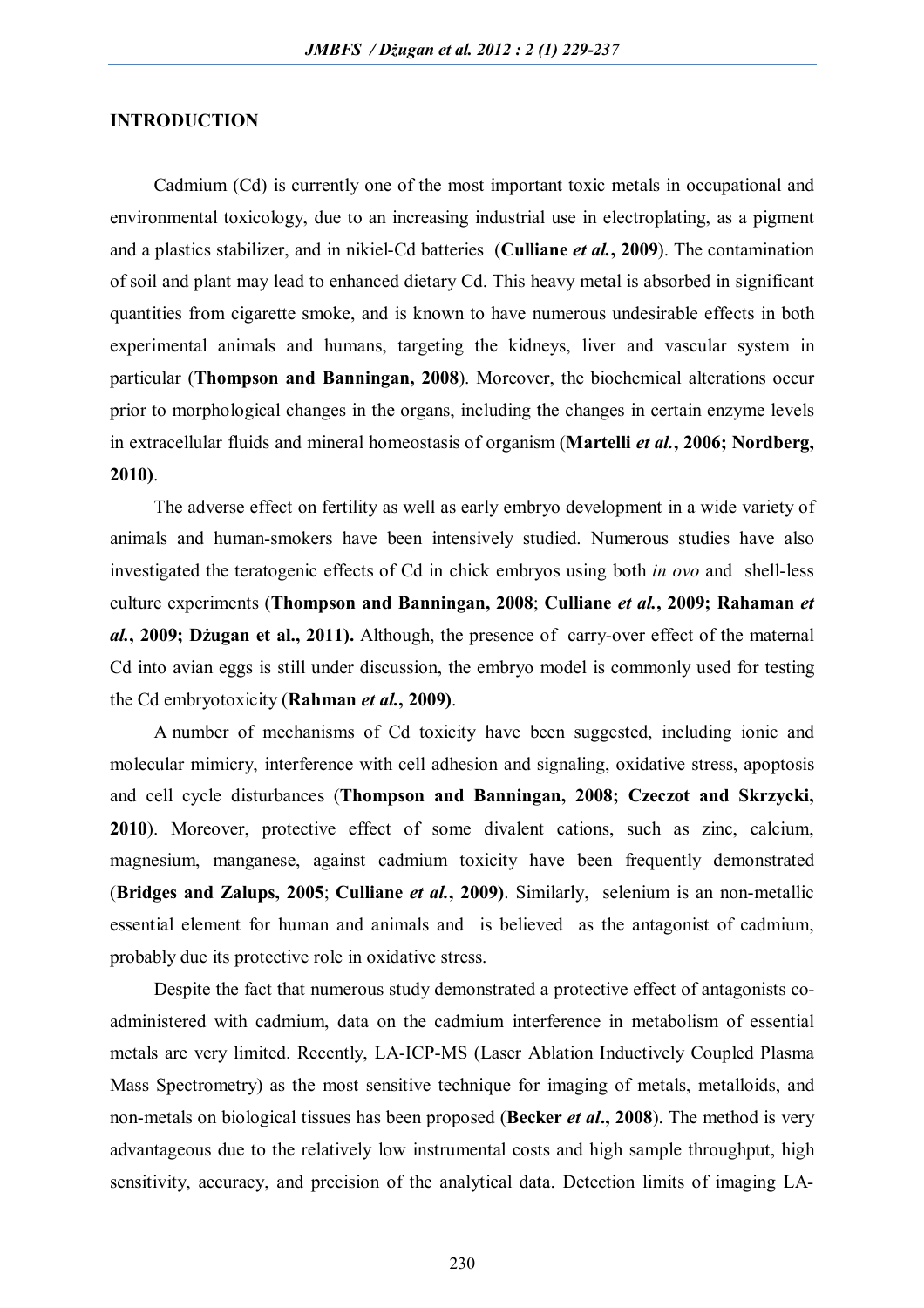## **INTRODUCTION**

Cadmium (Cd) is currently one of the most important toxic metals in occupational and environmental toxicology, due to an increasing industrial use in electroplating, as a pigment and a plastics stabilizer, and in nikiel-Cd batteries (**Culliane** *et al.***, 2009**). The contamination of soil and plant may lead to enhanced dietary Cd. This heavy metal is absorbed in significant quantities from cigarette smoke, and is known to have numerous undesirable effects in both experimental animals and humans, targeting the kidneys, liver and vascular system in particular (**Thompson and Banningan, 2008**). Moreover, the biochemical alterations occur prior to morphological changes in the organs, including the changes in certain enzyme levels in extracellular fluids and mineral homeostasis of organism (**Martelli** *et al.***, 2006; Nordberg, 2010)**.

The adverse effect on fertility as well as early embryo development in a wide variety of animals and human-smokers have been intensively studied. Numerous studies have also investigated the teratogenic effects of Cd in chick embryos using both *in ovo* and shell-less culture experiments (**Thompson and Banningan, 2008**; **Culliane** *et al.***, 2009; Rahaman** *et al.***, 2009; Dżugan et al., 2011).** Although, the presence of carry-over effect of the maternal Cd into avian eggs is still under discussion, the embryo model is commonly used for testing the Cd embryotoxicity (**Rahman** *et al.***, 2009)**.

A number of mechanisms of Cd toxicity have been suggested, including ionic and molecular mimicry, interference with cell adhesion and signaling, oxidative stress, apoptosis and cell cycle disturbances (**Thompson and Banningan, 2008; Czeczot and Skrzycki, 2010**). Moreover, protective effect of some divalent cations, such as zinc, calcium, magnesium, manganese, against cadmium toxicity have been frequently demonstrated (**Bridges and Zalups, 2005**; **Culliane** *et al.***, 2009)**. Similarly, selenium is an non-metallic essential element for human and animals and is believed as the antagonist of cadmium, probably due its protective role in oxidative stress.

Despite the fact that numerous study demonstrated a protective effect of antagonists coadministered with cadmium, data on the cadmium interference in metabolism of essential metals are very limited. Recently, LA-ICP-MS (Laser Ablation Inductively Coupled Plasma Mass Spectrometry) as the most sensitive technique for imaging of metals, metalloids, and non-metals on biological tissues has been proposed (**Becker** *et al***., 2008**). The method is very advantageous due to the relatively low instrumental costs and high sample throughput, high sensitivity, accuracy, and precision of the analytical data. Detection limits of imaging LA-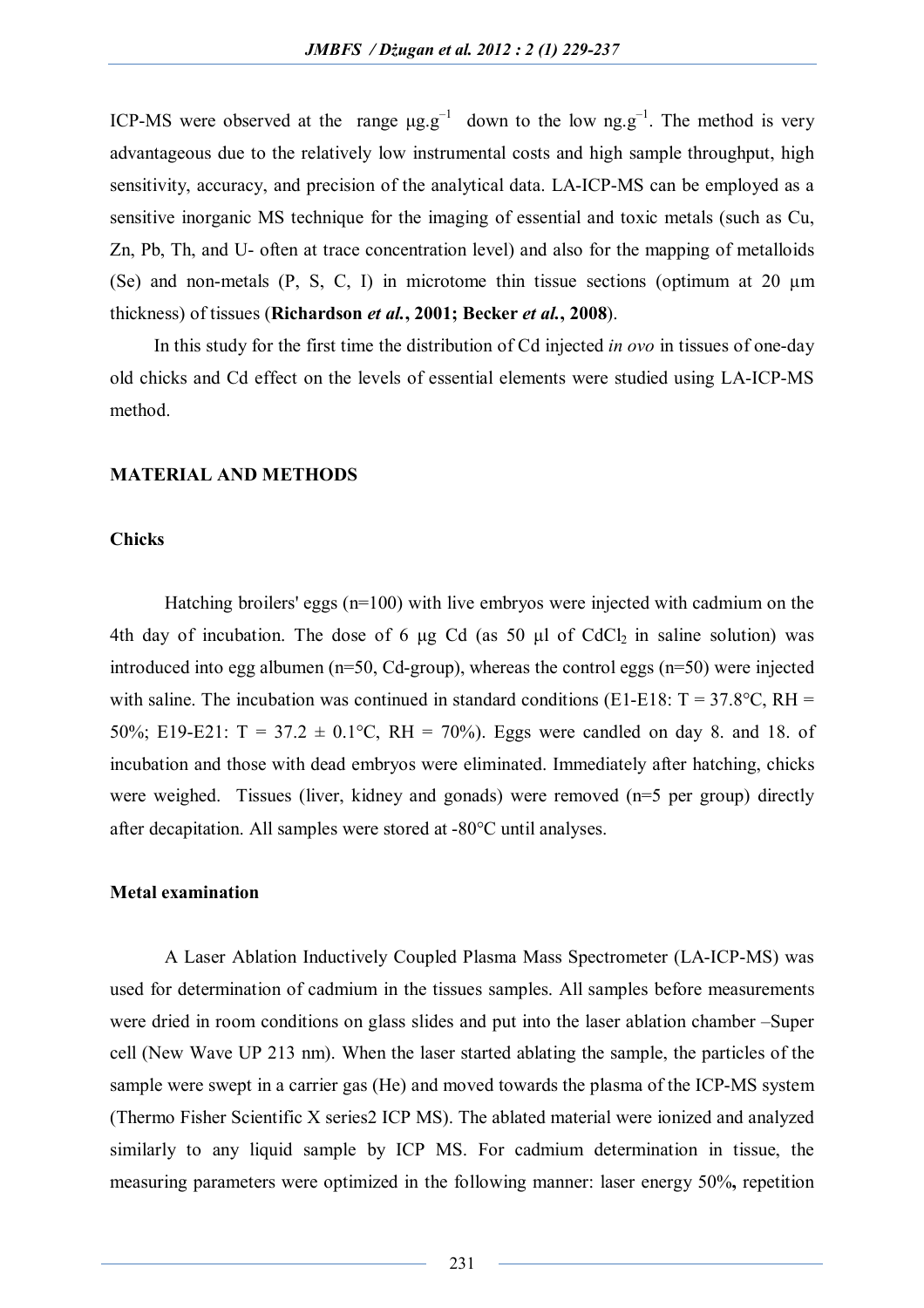ICP-MS were observed at the range  $\mu$ g.g<sup>-1</sup> down to the low ng.g<sup>-1</sup>. The method is very advantageous due to the relatively low instrumental costs and high sample throughput, high sensitivity, accuracy, and precision of the analytical data. LA-ICP-MS can be employed as a sensitive inorganic MS technique for the imaging of essential and toxic metals (such as Cu, Zn, Pb, Th, and U- often at trace concentration level) and also for the mapping of metalloids (Se) and non-metals  $(P, S, C, I)$  in microtome thin tissue sections (optimum at 20  $\mu$ m thickness) of tissues (**Richardson** *et al.***, 2001; Becker** *et al.***, 2008**).

In this study for the first time the distribution of Cd injected *in ovo* in tissues of one-day old chicks and Cd effect on the levels of essential elements were studied using LA-ICP-MS method.

#### **MATERIAL AND METHODS**

## **Chicks**

Hatching broilers' eggs (n=100) with live embryos were injected with cadmium on the 4th day of incubation. The dose of 6  $\mu$ g Cd (as 50  $\mu$ l of CdCl<sub>2</sub> in saline solution) was introduced into egg albumen (n=50, Cd-group), whereas the control eggs (n=50) were injected with saline. The incubation was continued in standard conditions (E1-E18:  $T = 37.8$ °C, RH = 50%; E19-E21:  $T = 37.2 \pm 0.1$  °C, RH = 70%). Eggs were candled on day 8, and 18, of incubation and those with dead embryos were eliminated. Immediately after hatching, chicks were weighed. Tissues (liver, kidney and gonads) were removed (n=5 per group) directly after decapitation. All samples were stored at -80°C until analyses.

#### **Metal examination**

A Laser Ablation Inductively Coupled Plasma Mass Spectrometer (LA-ICP-MS) was used for determination of cadmium in the tissues samples. All samples before measurements were dried in room conditions on glass slides and put into the laser ablation chamber –Super cell (New Wave UP 213 nm). When the laser started ablating the sample, the particles of the sample were swept in a carrier gas (He) and moved towards the plasma of the ICP-MS system (Thermo Fisher Scientific X series2 ICP MS). The ablated material were ionized and analyzed similarly to any liquid sample by ICP MS. For cadmium determination in tissue, the measuring parameters were optimized in the following manner: laser energy 50%**,** repetition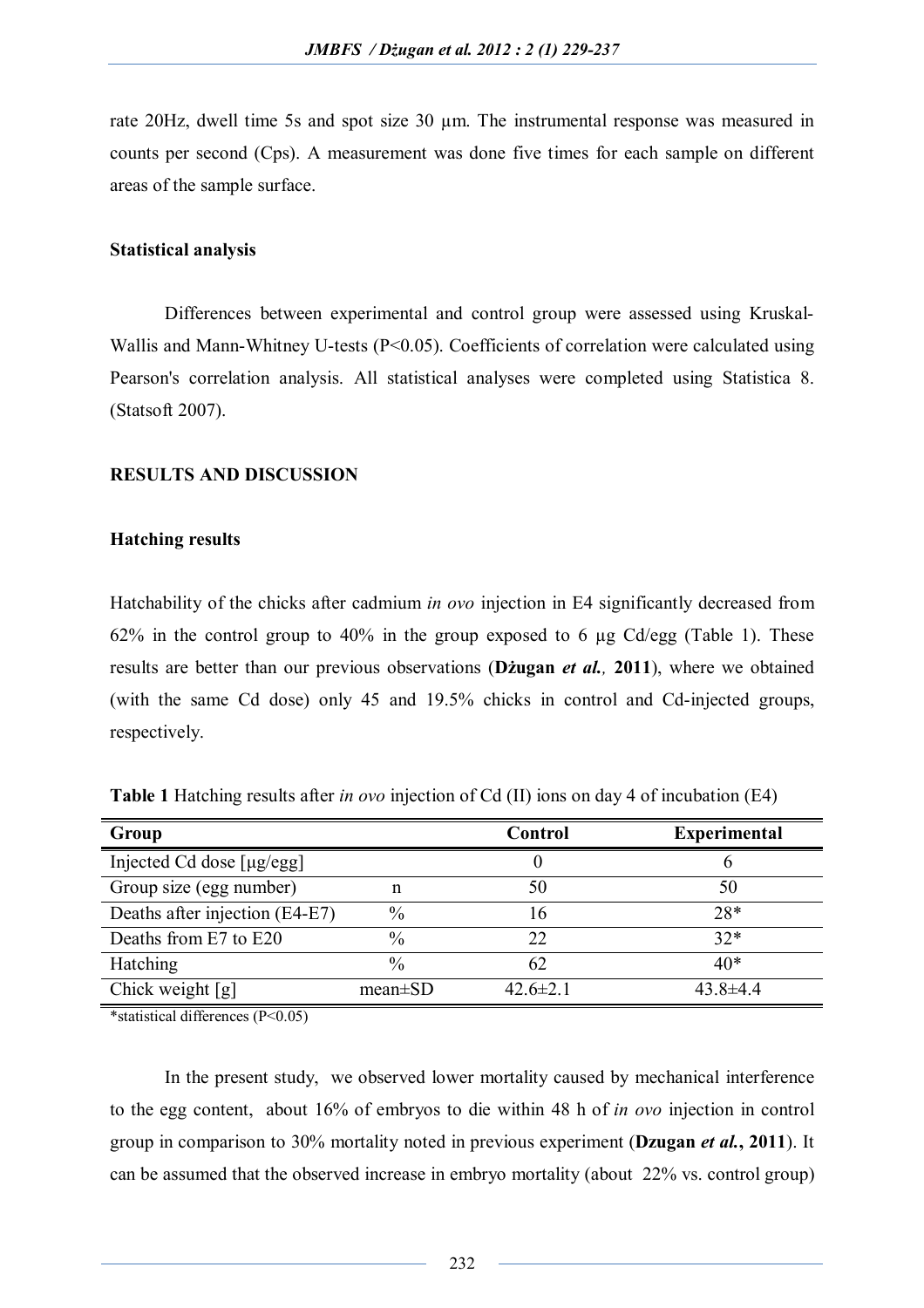rate 20Hz, dwell time 5s and spot size 30 µm. The instrumental response was measured in counts per second (Cps). A measurement was done five times for each sample on different areas of the sample surface.

## **Statistical analysis**

Differences between experimental and control group were assessed using Kruskal-Wallis and Mann-Whitney U-tests (P<0.05). Coefficients of correlation were calculated using Pearson's correlation analysis. All statistical analyses were completed using Statistica 8. (Statsoft 2007).

## **RESULTS AND DISCUSSION**

## **Hatching results**

Hatchability of the chicks after cadmium *in ovo* injection in E4 significantly decreased from 62% in the control group to 40% in the group exposed to 6 µg Cd/egg (Table 1). These results are better than our previous observations (**Dżugan** *et al.,* **2011**), where we obtained (with the same Cd dose) only 45 and 19.5% chicks in control and Cd-injected groups, respectively.

**Table 1** Hatching results after *in ovo* injection of Cd (II) ions on day 4 of incubation (E4)

| Group                          |               | Control        | <b>Experimental</b> |
|--------------------------------|---------------|----------------|---------------------|
| Injected Cd dose [µg/egg]      |               |                |                     |
| Group size (egg number)        | n             | 50             | 50                  |
| Deaths after injection (E4-E7) | $\%$          | $\mathfrak b$  | $28*$               |
| Deaths from E7 to E20          | $\%$          | 22             | $32*$               |
| <b>Hatching</b>                | $\frac{0}{0}$ | 62             | $40*$               |
| Chick weight $[g]$             | $mean \pm SD$ | $42.6 \pm 2.1$ | $43.8 \pm 4.4$      |

\*statistical differences (P<0.05)

In the present study, we observed lower mortality caused by mechanical interference to the egg content, about 16% of embryos to die within 48 h of *in ovo* injection in control group in comparison to 30% mortality noted in previous experiment (**Dzugan** *et al.***, 2011**). It can be assumed that the observed increase in embryo mortality (about 22% vs. control group)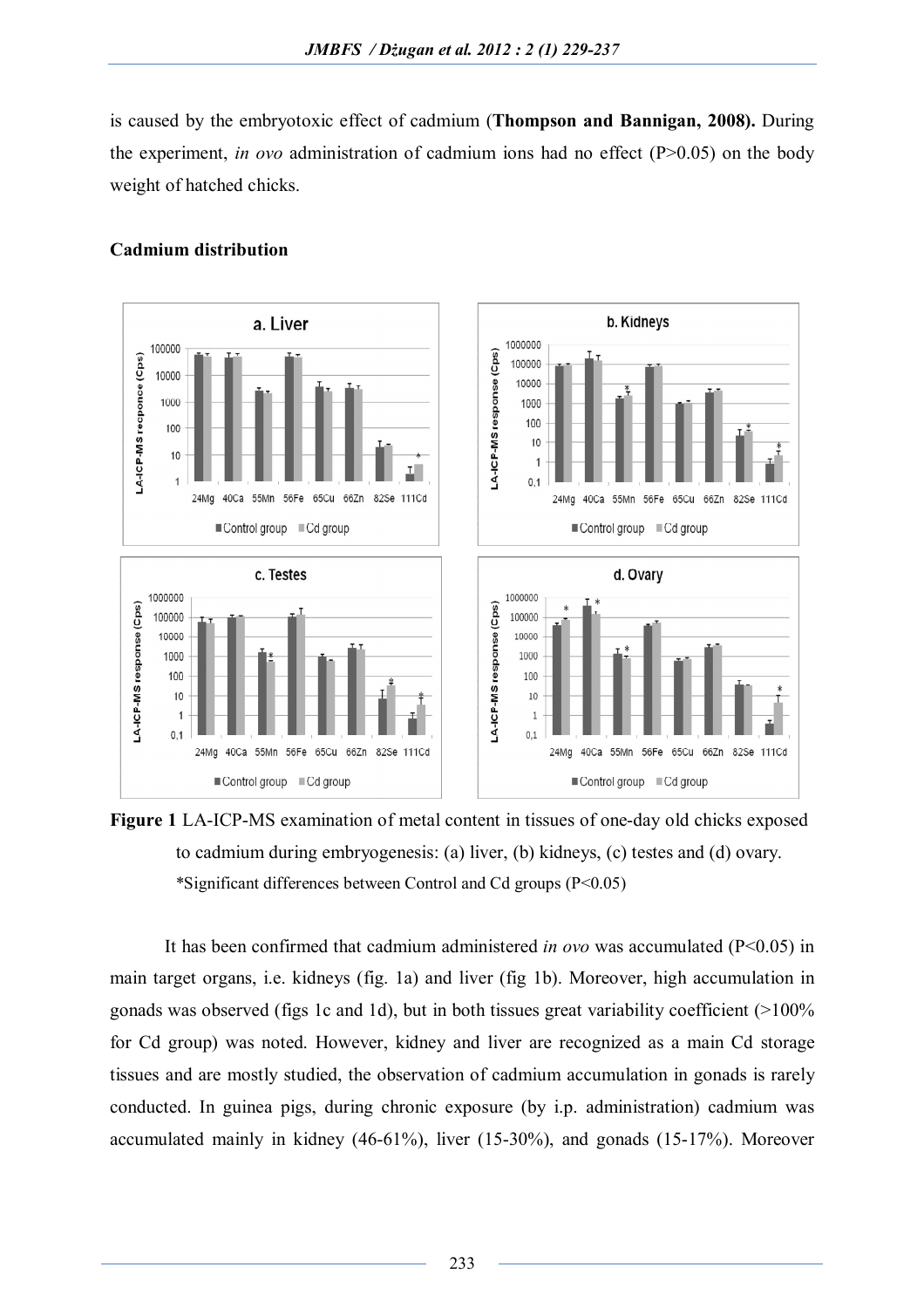is caused by the embryotoxic effect of cadmium (**Thompson and Bannigan, 2008).** During the experiment, *in ovo* administration of cadmium ions had no effect  $(P>0.05)$  on the body weight of hatched chicks.



# **Cadmium distribution**

**Figure 1** LA-ICP-MS examination of metal content in tissues of one-day old chicks exposed to cadmium during embryogenesis: (a) liver, (b) kidneys, (c) testes and (d) ovary. \*Significant differences between Control and Cd groups (P<0.05)

It has been confirmed that cadmium administered *in ovo* was accumulated (P<0.05) in main target organs, i.e. kidneys (fig. 1a) and liver (fig 1b). Moreover, high accumulation in gonads was observed (figs 1c and 1d), but in both tissues great variability coefficient (>100% for Cd group) was noted. However, kidney and liver are recognized as a main Cd storage tissues and are mostly studied, the observation of cadmium accumulation in gonads is rarely conducted. In guinea pigs, during chronic exposure (by i.p. administration) cadmium was accumulated mainly in kidney (46-61%), liver (15-30%), and gonads (15-17%). Moreover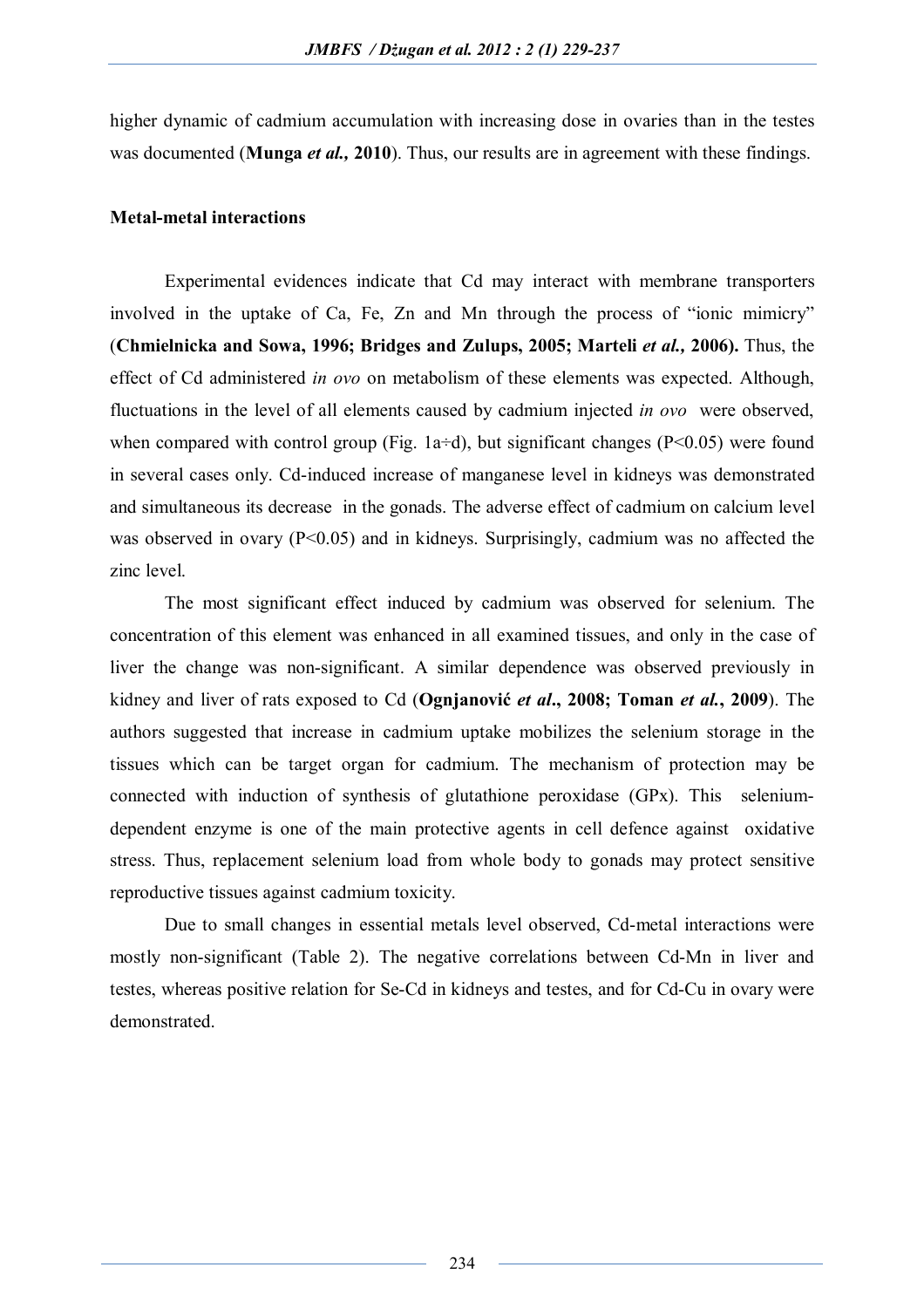higher dynamic of cadmium accumulation with increasing dose in ovaries than in the testes was documented (**Munga** *et al.,* **2010**). Thus, our results are in agreement with these findings.

#### **Metal-metal interactions**

Experimental evidences indicate that Cd may interact with membrane transporters involved in the uptake of Ca, Fe, Zn and Mn through the process of "ionic mimicry" (**Chmielnicka and Sowa, 1996; Bridges and Zulups, 2005; Marteli** *et al.,* **2006).** Thus, the effect of Cd administered *in ovo* on metabolism of these elements was expected. Although, fluctuations in the level of all elements caused by cadmium injected *in ovo* were observed, when compared with control group (Fig. 1a÷d), but significant changes (P<0.05) were found in several cases only. Cd-induced increase of manganese level in kidneys was demonstrated and simultaneous its decrease in the gonads. The adverse effect of cadmium on calcium level was observed in ovary (P<0.05) and in kidneys. Surprisingly, cadmium was no affected the zinc level.

The most significant effect induced by cadmium was observed for selenium. The concentration of this element was enhanced in all examined tissues, and only in the case of liver the change was non-significant. A similar dependence was observed previously in kidney and liver of rats exposed to Cd (**Ognjanović** *et al***., 2008; Toman** *et al.***, 2009**). The authors suggested that increase in cadmium uptake mobilizes the selenium storage in the tissues which can be target organ for cadmium. The mechanism of protection may be connected with induction of synthesis of glutathione peroxidase (GPx). This seleniumdependent enzyme is one of the main protective agents in cell defence against oxidative stress. Thus, replacement selenium load from whole body to gonads may protect sensitive reproductive tissues against cadmium toxicity.

Due to small changes in essential metals level observed, Cd-metal interactions were mostly non-significant (Table 2). The negative correlations between Cd-Mn in liver and testes, whereas positive relation for Se-Cd in kidneys and testes, and for Cd-Cu in ovary were demonstrated.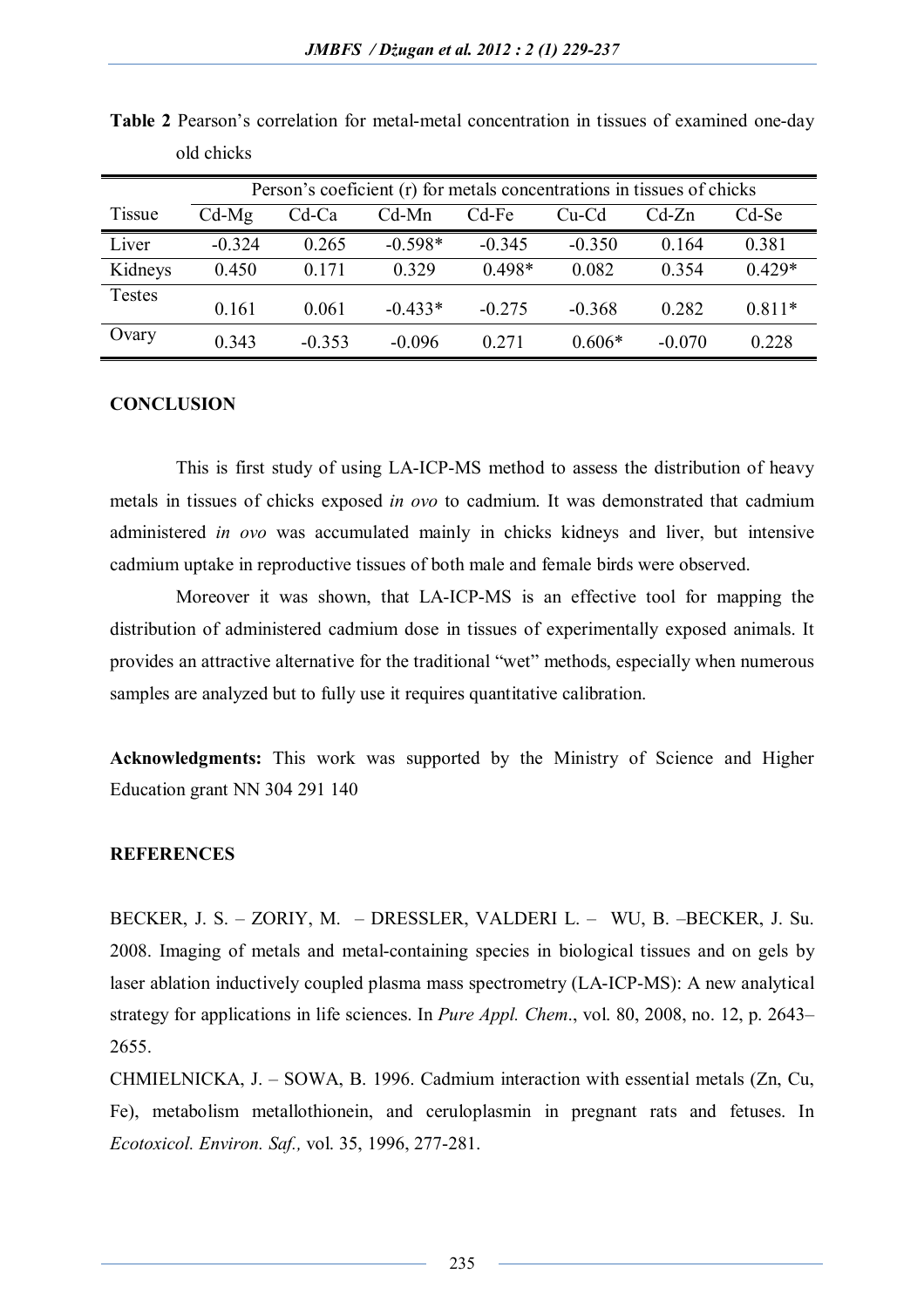|               | Person's coeficient (r) for metals concentrations in tissues of chicks |          |           |          |          |          |          |  |
|---------------|------------------------------------------------------------------------|----------|-----------|----------|----------|----------|----------|--|
| <b>Tissue</b> | $Cd-Mg$                                                                | $Cd$ -Ca | $Cd-Mn$   | Cd-Fe    | Cu-Cd    | $Cd-Zn$  | Cd-Se    |  |
| Liver         | $-0.324$                                                               | 0.265    | $-0.598*$ | $-0.345$ | $-0.350$ | 0.164    | 0.381    |  |
| Kidneys       | 0.450                                                                  | 0.171    | 0.329     | $0.498*$ | 0.082    | 0.354    | $0.429*$ |  |
| Testes        |                                                                        |          |           |          |          |          |          |  |
|               | 0.161                                                                  | 0.061    | $-0.433*$ | $-0.275$ | $-0.368$ | 0.282    | $0.811*$ |  |
| Ovary         | 0.343                                                                  | $-0.353$ | $-0.096$  | 0.271    | $0.606*$ | $-0.070$ | 0.228    |  |

**Table 2** Pearson's correlation for metal-metal concentration in tissues of examined one-day old chicks

## **CONCLUSION**

This is first study of using LA-ICP-MS method to assess the distribution of heavy metals in tissues of chicks exposed *in ovo* to cadmium. It was demonstrated that cadmium administered *in ovo* was accumulated mainly in chicks kidneys and liver, but intensive cadmium uptake in reproductive tissues of both male and female birds were observed.

Moreover it was shown, that LA-ICP-MS is an effective tool for mapping the distribution of administered cadmium dose in tissues of experimentally exposed animals. It provides an attractive alternative for the traditional "wet" methods, especially when numerous samples are analyzed but to fully use it requires quantitative calibration.

**Acknowledgments:** This work was supported by the Ministry of Science and Higher Education grant NN 304 291 140

#### **REFERENCES**

BECKER, J. S. – ZORIY, M. – DRESSLER, VALDERI L. – WU, B. –BECKER, J. Su. 2008. Imaging of metals and metal-containing species in biological tissues and on gels by laser ablation inductively coupled plasma mass spectrometry (LA-ICP-MS): A new analytical strategy for applications in life sciences. In *Pure Appl. Chem*., vol. 80, 2008, no. 12, p. 2643– 2655.

CHMIELNICKA, J. – SOWA, B. 1996. Cadmium interaction with essential metals (Zn, Cu, Fe), metabolism metallothionein, and ceruloplasmin in pregnant rats and fetuses. In *Ecotoxicol. Environ. Saf.,* vol. 35, 1996, 277-281.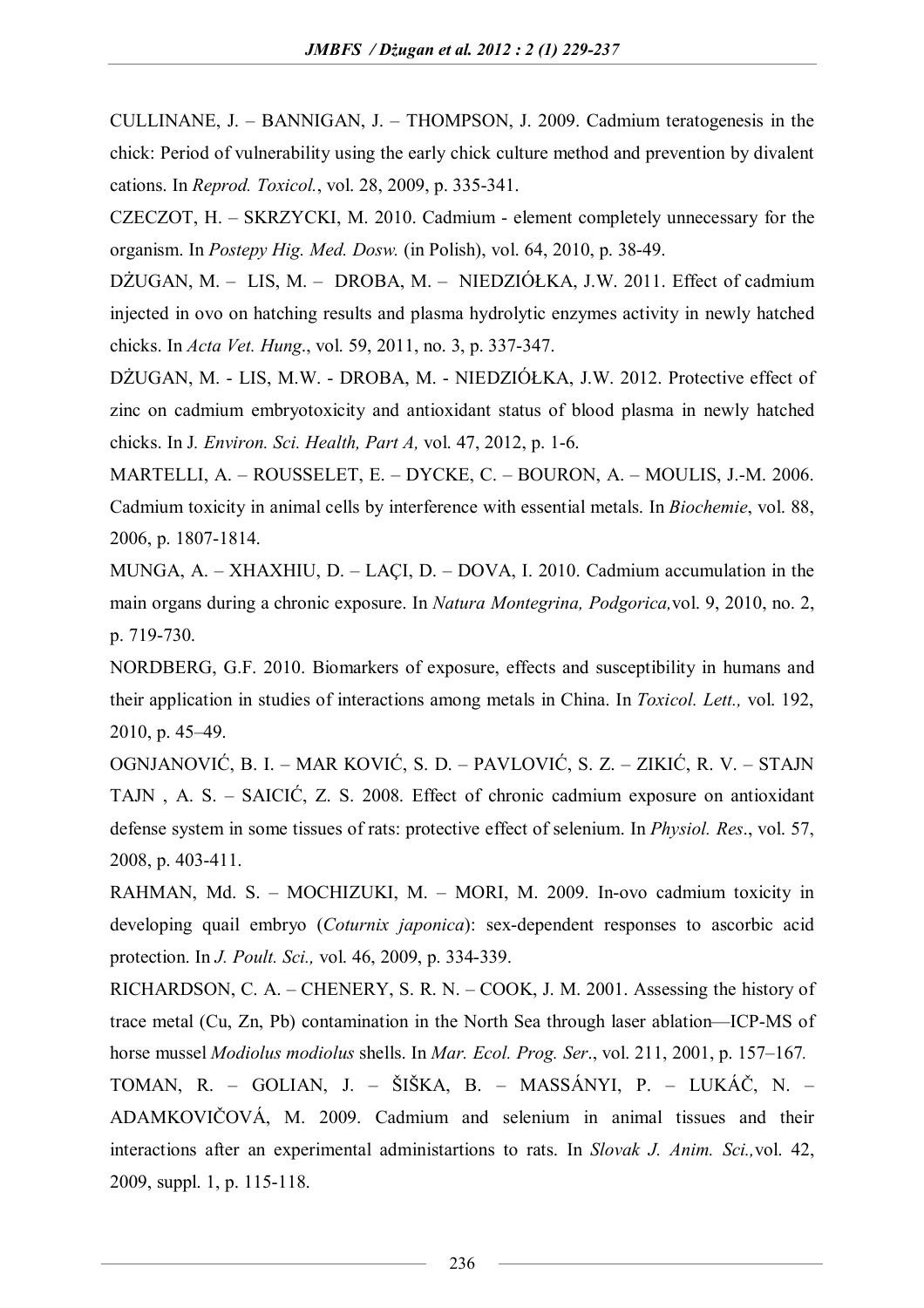CULLINANE, J. – BANNIGAN, J. – THOMPSON, J. 2009. Cadmium teratogenesis in the chick: Period of vulnerability using the early chick culture method and prevention by divalent cations. In *Reprod. Toxicol.*, vol. 28, 2009, p. 335-341.

CZECZOT, H. – SKRZYCKI, M. 2010. Cadmium - element completely unnecessary for the organism. In *Postepy Hig. Med. Dosw.* (in Polish), vol. 64, 2010, p. 38-49.

DŻUGAN, M. – LIS, M. – DROBA, M. – NIEDZIÓŁKA, J.W. 2011. Effect of cadmium injected in ovo on hatching results and plasma hydrolytic enzymes activity in newly hatched chicks. In *Acta Vet. Hung*., vol. 59, 2011, no. 3, p. 337-347.

DŻUGAN, M. - LIS, M.W. - DROBA, M. - NIEDZIÓŁKA, J.W. 2012. Protective effect of zinc on cadmium embryotoxicity and antioxidant status of blood plasma in newly hatched chicks. In J*. Environ. Sci. Health, Part A,* vol. 47, 2012, p. 1-6.

MARTELLI, A. – ROUSSELET, E. – DYCKE, C. – BOURON, A. – MOULIS, J.-M. 2006. Cadmium toxicity in animal cells by interference with essential metals. In *Biochemie*, vol. 88, 2006, p. 1807-1814.

MUNGA, A. – XHAXHIU, D. – LAÇI, D. – DOVA, I. 2010. Cadmium accumulation in the main organs during a chronic exposure. In *Natura Montegrina, Podgorica,*vol. 9, 2010, no. 2, p. 719-730.

NORDBERG, G.F. 2010. Biomarkers of exposure, effects and susceptibility in humans and their application in studies of interactions among metals in China. In *Toxicol. Lett.,* vol. 192, 2010, p. 45–49.

OGNJANOVIĆ, B. I. – MAR KOVIĆ, S. D. – PAVLOVIĆ, S. Z. – ZIKIĆ, R. V. – STAJN TAJN , A. S. – SAICIĆ, Z. S. 2008. Effect of chronic cadmium exposure on antioxidant defense system in some tissues of rats: protective effect of selenium. In *Physiol. Res*., vol. 57, 2008, p. 403-411.

RAHMAN, Md. S. – MOCHIZUKI, M. – MORI, M. 2009. In-ovo cadmium toxicity in developing quail embryo (*Coturnix japonica*): sex-dependent responses to ascorbic acid protection. In *J. Poult. Sci.,* vol. 46, 2009, p. 334-339.

RICHARDSON, C. A. – CHENERY, S. R. N. – COOK, J. M. 2001. Assessing the history of trace metal (Cu, Zn, Pb) contamination in the North Sea through laser ablation—ICP-MS of horse mussel *Modiolus modiolus* shells. In *Mar. Ecol. Prog. Ser*., vol. 211, 2001, p. 157–167*.*

TOMAN, R. – GOLIAN, J. – ŠIŠKA, B. – MASSÁNYI, P. – LUKÁČ, N. – ADAMKOVIČOVÁ, M. 2009. Cadmium and selenium in animal tissues and their interactions after an experimental administartions to rats. In *Slovak J. Anim. Sci.,*vol. 42, 2009, suppl. 1, p. 115-118.